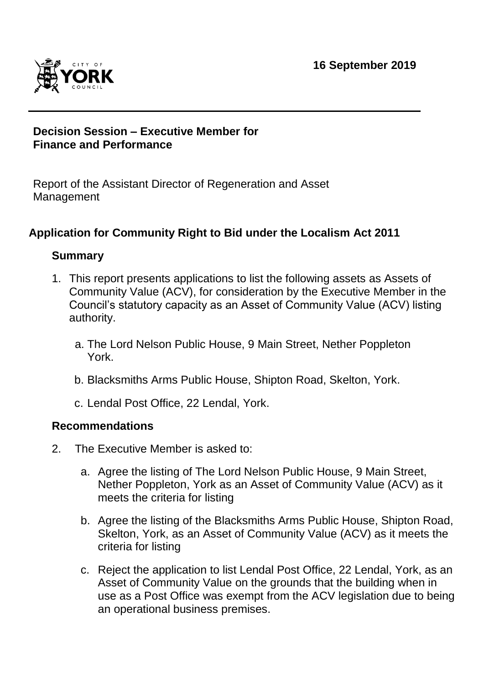

# **Decision Session – Executive Member for Finance and Performance**

Report of the Assistant Director of Regeneration and Asset Management

# **Application for Community Right to Bid under the Localism Act 2011**

## **Summary**

- 1. This report presents applications to list the following assets as Assets of Community Value (ACV), for consideration by the Executive Member in the Council's statutory capacity as an Asset of Community Value (ACV) listing authority.
	- a. The Lord Nelson Public House, 9 Main Street, Nether Poppleton York.
	- b. Blacksmiths Arms Public House, Shipton Road, Skelton, York.
	- c. Lendal Post Office, 22 Lendal, York.

## **Recommendations**

- 2. The Executive Member is asked to:
	- a. Agree the listing of The Lord Nelson Public House, 9 Main Street, Nether Poppleton, York as an Asset of Community Value (ACV) as it meets the criteria for listing
	- b. Agree the listing of the Blacksmiths Arms Public House, Shipton Road, Skelton, York, as an Asset of Community Value (ACV) as it meets the criteria for listing
	- c. Reject the application to list Lendal Post Office, 22 Lendal, York, as an Asset of Community Value on the grounds that the building when in use as a Post Office was exempt from the ACV legislation due to being an operational business premises.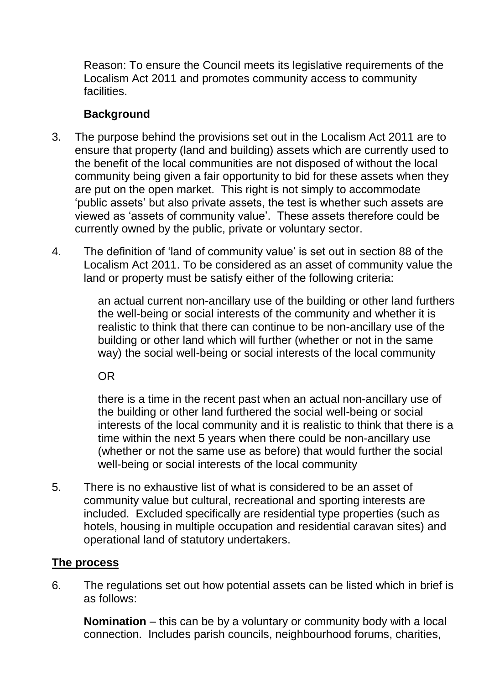Reason: To ensure the Council meets its legislative requirements of the Localism Act 2011 and promotes community access to community facilities.

# **Background**

- 3. The purpose behind the provisions set out in the Localism Act 2011 are to ensure that property (land and building) assets which are currently used to the benefit of the local communities are not disposed of without the local community being given a fair opportunity to bid for these assets when they are put on the open market. This right is not simply to accommodate 'public assets' but also private assets, the test is whether such assets are viewed as 'assets of community value'. These assets therefore could be currently owned by the public, private or voluntary sector.
- 4. The definition of 'land of community value' is set out in section 88 of the Localism Act 2011. To be considered as an asset of community value the land or property must be satisfy either of the following criteria:

an actual current non-ancillary use of the building or other land furthers the well-being or social interests of the community and whether it is realistic to think that there can continue to be non-ancillary use of the building or other land which will further (whether or not in the same way) the social well-being or social interests of the local community

OR

there is a time in the recent past when an actual non-ancillary use of the building or other land furthered the social well-being or social interests of the local community and it is realistic to think that there is a time within the next 5 years when there could be non-ancillary use (whether or not the same use as before) that would further the social well-being or social interests of the local community

5. There is no exhaustive list of what is considered to be an asset of community value but cultural, recreational and sporting interests are included. Excluded specifically are residential type properties (such as hotels, housing in multiple occupation and residential caravan sites) and operational land of statutory undertakers.

## **The process**

6. The regulations set out how potential assets can be listed which in brief is as follows:

**Nomination** – this can be by a voluntary or community body with a local connection. Includes parish councils, neighbourhood forums, charities,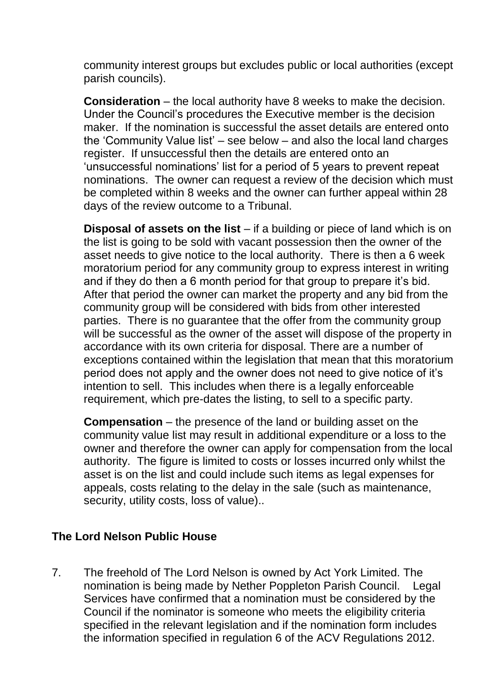community interest groups but excludes public or local authorities (except parish councils).

**Consideration** – the local authority have 8 weeks to make the decision. Under the Council's procedures the Executive member is the decision maker. If the nomination is successful the asset details are entered onto the 'Community Value list' – see below – and also the local land charges register. If unsuccessful then the details are entered onto an 'unsuccessful nominations' list for a period of 5 years to prevent repeat nominations. The owner can request a review of the decision which must be completed within 8 weeks and the owner can further appeal within 28 days of the review outcome to a Tribunal.

**Disposal of assets on the list** – if a building or piece of land which is on the list is going to be sold with vacant possession then the owner of the asset needs to give notice to the local authority. There is then a 6 week moratorium period for any community group to express interest in writing and if they do then a 6 month period for that group to prepare it's bid. After that period the owner can market the property and any bid from the community group will be considered with bids from other interested parties. There is no guarantee that the offer from the community group will be successful as the owner of the asset will dispose of the property in accordance with its own criteria for disposal. There are a number of exceptions contained within the legislation that mean that this moratorium period does not apply and the owner does not need to give notice of it's intention to sell. This includes when there is a legally enforceable requirement, which pre-dates the listing, to sell to a specific party.

**Compensation** – the presence of the land or building asset on the community value list may result in additional expenditure or a loss to the owner and therefore the owner can apply for compensation from the local authority. The figure is limited to costs or losses incurred only whilst the asset is on the list and could include such items as legal expenses for appeals, costs relating to the delay in the sale (such as maintenance, security, utility costs, loss of value)..

## **The Lord Nelson Public House**

7. The freehold of The Lord Nelson is owned by Act York Limited. The nomination is being made by Nether Poppleton Parish Council. Legal Services have confirmed that a nomination must be considered by the Council if the nominator is someone who meets the eligibility criteria specified in the relevant legislation and if the nomination form includes the information specified in regulation 6 of the ACV Regulations 2012.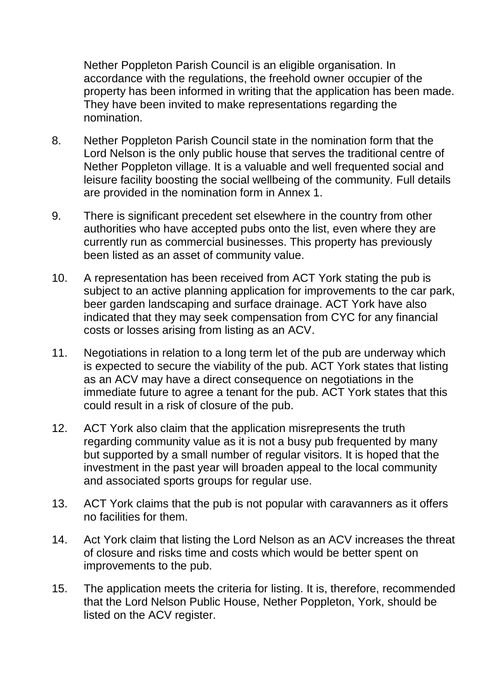Nether Poppleton Parish Council is an eligible organisation. In accordance with the regulations, the freehold owner occupier of the property has been informed in writing that the application has been made. They have been invited to make representations regarding the nomination.

- 8. Nether Poppleton Parish Council state in the nomination form that the Lord Nelson is the only public house that serves the traditional centre of Nether Poppleton village. It is a valuable and well frequented social and leisure facility boosting the social wellbeing of the community. Full details are provided in the nomination form in Annex 1.
- 9. There is significant precedent set elsewhere in the country from other authorities who have accepted pubs onto the list, even where they are currently run as commercial businesses. This property has previously been listed as an asset of community value.
- 10. A representation has been received from ACT York stating the pub is subject to an active planning application for improvements to the car park, beer garden landscaping and surface drainage. ACT York have also indicated that they may seek compensation from CYC for any financial costs or losses arising from listing as an ACV.
- 11. Negotiations in relation to a long term let of the pub are underway which is expected to secure the viability of the pub. ACT York states that listing as an ACV may have a direct consequence on negotiations in the immediate future to agree a tenant for the pub. ACT York states that this could result in a risk of closure of the pub.
- 12. ACT York also claim that the application misrepresents the truth regarding community value as it is not a busy pub frequented by many but supported by a small number of regular visitors. It is hoped that the investment in the past year will broaden appeal to the local community and associated sports groups for regular use.
- 13. ACT York claims that the pub is not popular with caravanners as it offers no facilities for them.
- 14. Act York claim that listing the Lord Nelson as an ACV increases the threat of closure and risks time and costs which would be better spent on improvements to the pub.
- 15. The application meets the criteria for listing. It is, therefore, recommended that the Lord Nelson Public House, Nether Poppleton, York, should be listed on the ACV register.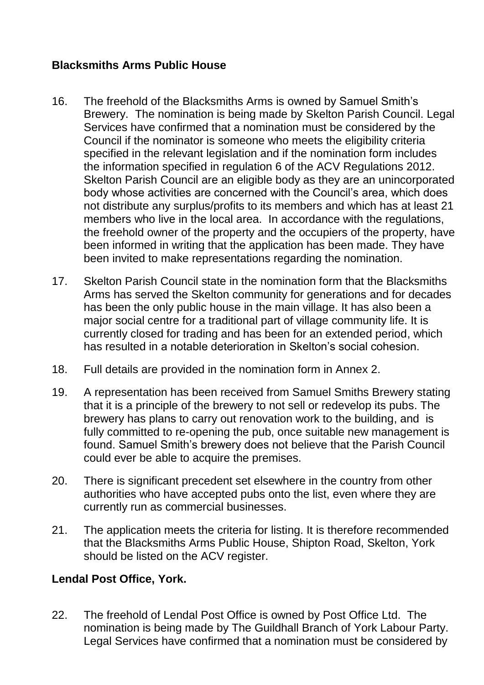# **Blacksmiths Arms Public House**

- 16. The freehold of the Blacksmiths Arms is owned by Samuel Smith's Brewery. The nomination is being made by Skelton Parish Council. Legal Services have confirmed that a nomination must be considered by the Council if the nominator is someone who meets the eligibility criteria specified in the relevant legislation and if the nomination form includes the information specified in regulation 6 of the ACV Regulations 2012. Skelton Parish Council are an eligible body as they are an unincorporated body whose activities are concerned with the Council's area, which does not distribute any surplus/profits to its members and which has at least 21 members who live in the local area. In accordance with the regulations, the freehold owner of the property and the occupiers of the property, have been informed in writing that the application has been made. They have been invited to make representations regarding the nomination.
- 17. Skelton Parish Council state in the nomination form that the Blacksmiths Arms has served the Skelton community for generations and for decades has been the only public house in the main village. It has also been a major social centre for a traditional part of village community life. It is currently closed for trading and has been for an extended period, which has resulted in a notable deterioration in Skelton's social cohesion.
- 18. Full details are provided in the nomination form in Annex 2.
- 19. A representation has been received from Samuel Smiths Brewery stating that it is a principle of the brewery to not sell or redevelop its pubs. The brewery has plans to carry out renovation work to the building, and is fully committed to re-opening the pub, once suitable new management is found. Samuel Smith's brewery does not believe that the Parish Council could ever be able to acquire the premises.
- 20. There is significant precedent set elsewhere in the country from other authorities who have accepted pubs onto the list, even where they are currently run as commercial businesses.
- 21. The application meets the criteria for listing. It is therefore recommended that the Blacksmiths Arms Public House, Shipton Road, Skelton, York should be listed on the ACV register.

# **Lendal Post Office, York.**

22. The freehold of Lendal Post Office is owned by Post Office Ltd. The nomination is being made by The Guildhall Branch of York Labour Party. Legal Services have confirmed that a nomination must be considered by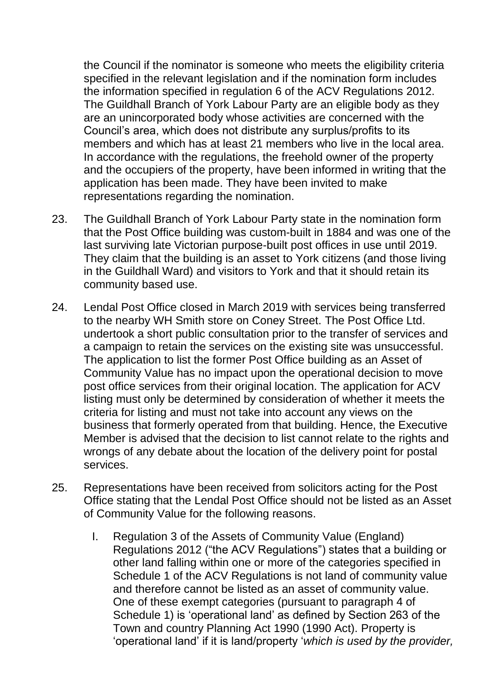the Council if the nominator is someone who meets the eligibility criteria specified in the relevant legislation and if the nomination form includes the information specified in regulation 6 of the ACV Regulations 2012. The Guildhall Branch of York Labour Party are an eligible body as they are an unincorporated body whose activities are concerned with the Council's area, which does not distribute any surplus/profits to its members and which has at least 21 members who live in the local area. In accordance with the regulations, the freehold owner of the property and the occupiers of the property, have been informed in writing that the application has been made. They have been invited to make representations regarding the nomination.

- 23. The Guildhall Branch of York Labour Party state in the nomination form that the Post Office building was custom-built in 1884 and was one of the last surviving late Victorian purpose-built post offices in use until 2019. They claim that the building is an asset to York citizens (and those living in the Guildhall Ward) and visitors to York and that it should retain its community based use.
- 24. Lendal Post Office closed in March 2019 with services being transferred to the nearby WH Smith store on Coney Street. The Post Office Ltd. undertook a short public consultation prior to the transfer of services and a campaign to retain the services on the existing site was unsuccessful. The application to list the former Post Office building as an Asset of Community Value has no impact upon the operational decision to move post office services from their original location. The application for ACV listing must only be determined by consideration of whether it meets the criteria for listing and must not take into account any views on the business that formerly operated from that building. Hence, the Executive Member is advised that the decision to list cannot relate to the rights and wrongs of any debate about the location of the delivery point for postal services.
- 25. Representations have been received from solicitors acting for the Post Office stating that the Lendal Post Office should not be listed as an Asset of Community Value for the following reasons.
	- I. Regulation 3 of the Assets of Community Value (England) Regulations 2012 ("the ACV Regulations") states that a building or other land falling within one or more of the categories specified in Schedule 1 of the ACV Regulations is not land of community value and therefore cannot be listed as an asset of community value. One of these exempt categories (pursuant to paragraph 4 of Schedule 1) is 'operational land' as defined by Section 263 of the Town and country Planning Act 1990 (1990 Act). Property is 'operational land' if it is land/property '*which is used by the provider,*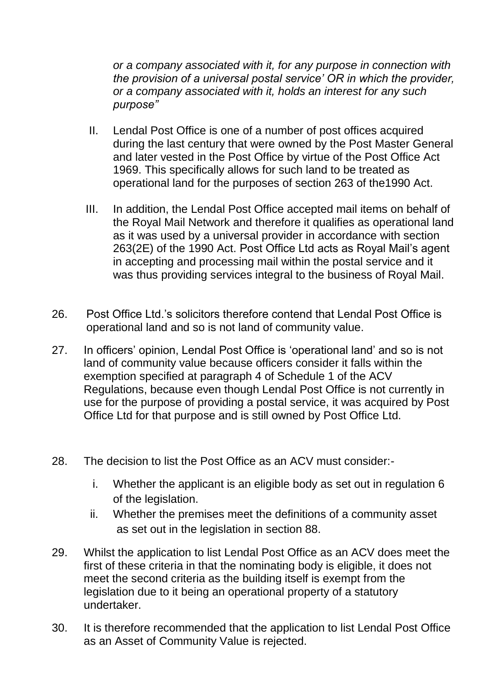*or a company associated with it, for any purpose in connection with the provision of a universal postal service' OR in which the provider, or a company associated with it, holds an interest for any such purpose"*

- II. Lendal Post Office is one of a number of post offices acquired during the last century that were owned by the Post Master General and later vested in the Post Office by virtue of the Post Office Act 1969. This specifically allows for such land to be treated as operational land for the purposes of section 263 of the1990 Act.
- III. In addition, the Lendal Post Office accepted mail items on behalf of the Royal Mail Network and therefore it qualifies as operational land as it was used by a universal provider in accordance with section 263(2E) of the 1990 Act. Post Office Ltd acts as Royal Mail's agent in accepting and processing mail within the postal service and it was thus providing services integral to the business of Royal Mail.
- 26. Post Office Ltd.'s solicitors therefore contend that Lendal Post Office is operational land and so is not land of community value.
- 27. In officers' opinion, Lendal Post Office is 'operational land' and so is not land of community value because officers consider it falls within the exemption specified at paragraph 4 of Schedule 1 of the ACV Regulations, because even though Lendal Post Office is not currently in use for the purpose of providing a postal service, it was acquired by Post Office Ltd for that purpose and is still owned by Post Office Ltd.
- 28. The decision to list the Post Office as an ACV must consider:
	- i. Whether the applicant is an eligible body as set out in regulation 6 of the legislation.
	- ii. Whether the premises meet the definitions of a community asset as set out in the legislation in section 88.
- 29. Whilst the application to list Lendal Post Office as an ACV does meet the first of these criteria in that the nominating body is eligible, it does not meet the second criteria as the building itself is exempt from the legislation due to it being an operational property of a statutory undertaker.
- 30. It is therefore recommended that the application to list Lendal Post Office as an Asset of Community Value is rejected.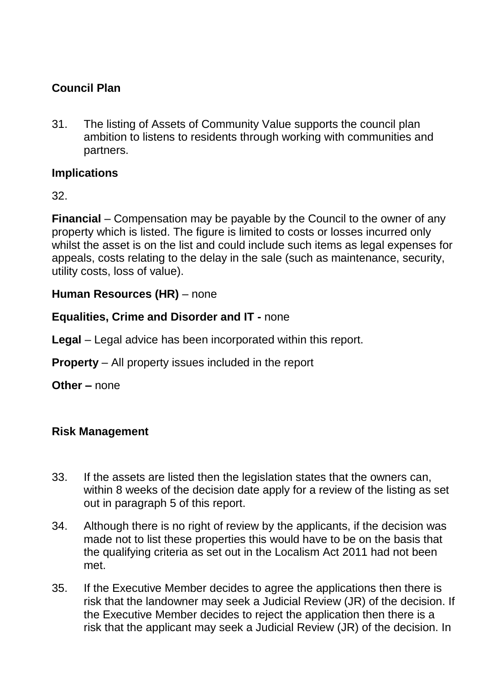# **Council Plan**

31. The listing of Assets of Community Value supports the council plan ambition to listens to residents through working with communities and partners.

# **Implications**

32.

**Financial** – Compensation may be payable by the Council to the owner of any property which is listed. The figure is limited to costs or losses incurred only whilst the asset is on the list and could include such items as legal expenses for appeals, costs relating to the delay in the sale (such as maintenance, security, utility costs, loss of value).

# **Human Resources (HR)** – none

## **Equalities, Crime and Disorder and IT -** none

**Legal** – Legal advice has been incorporated within this report.

**Property** – All property issues included in the report

**Other –** none

# **Risk Management**

- 33. If the assets are listed then the legislation states that the owners can, within 8 weeks of the decision date apply for a review of the listing as set out in paragraph 5 of this report.
- 34. Although there is no right of review by the applicants, if the decision was made not to list these properties this would have to be on the basis that the qualifying criteria as set out in the Localism Act 2011 had not been met.
- 35. If the Executive Member decides to agree the applications then there is risk that the landowner may seek a Judicial Review (JR) of the decision. If the Executive Member decides to reject the application then there is a risk that the applicant may seek a Judicial Review (JR) of the decision. In